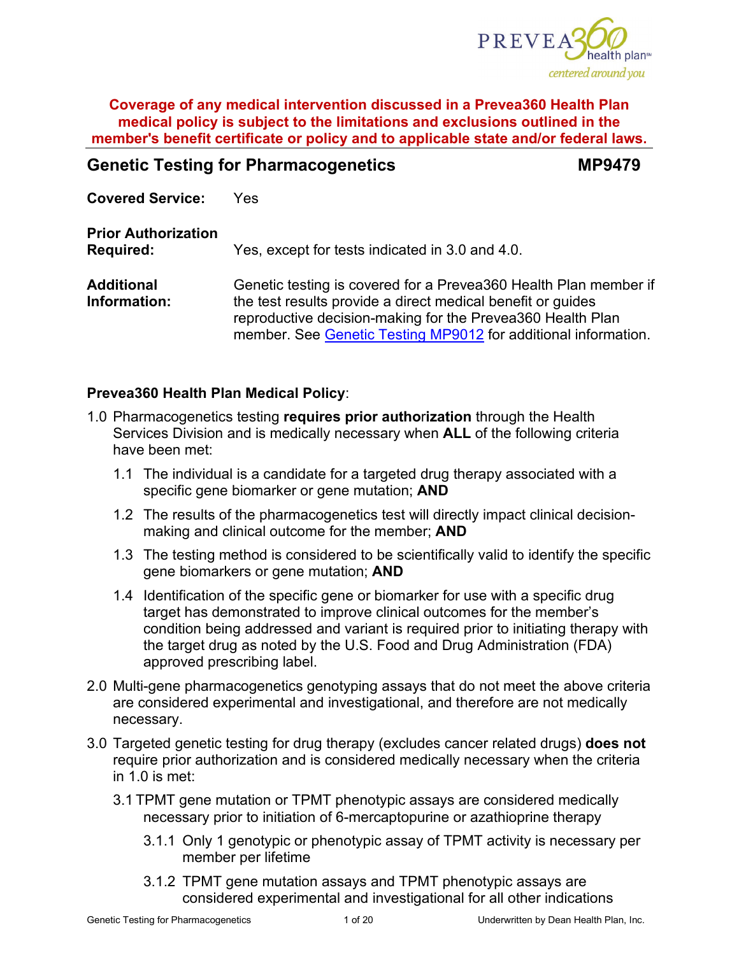

# **Genetic Testing for Pharmacogenetics MP9479**

**Covered Service:** Yes

**Prior Authorization Required:** Yes, except for tests indicated in 3.0 and 4.0.

**Additional Information:** Genetic testing is covered for a Prevea360 Health Plan member if the test results provide a direct medical benefit or guides reproductive decision-making for the Prevea360 Health Plan member. See [Genetic Testing MP9012](https://www.prevea360.com/DocumentLibrary/PDF/Medical-Policies/Genetic-Testing-9012) for additional information.

# **Prevea360 Health Plan Medical Policy**:

- 1.0 Pharmacogenetics testing **requires prior autho**r**ization** through the Health Services Division and is medically necessary when **ALL** of the following criteria have been met:
	- 1.1 The individual is a candidate for a targeted drug therapy associated with a specific gene biomarker or gene mutation; **AND**
	- 1.2 The results of the pharmacogenetics test will directly impact clinical decisionmaking and clinical outcome for the member; **AND**
	- 1.3 The testing method is considered to be scientifically valid to identify the specific gene biomarkers or gene mutation; **AND**
	- 1.4 Identification of the specific gene or biomarker for use with a specific drug target has demonstrated to improve clinical outcomes for the member's condition being addressed and variant is required prior to initiating therapy with the target drug as noted by the U.S. Food and Drug Administration (FDA) approved prescribing label.
- 2.0 Multi-gene pharmacogenetics genotyping assays that do not meet the above criteria are considered experimental and investigational, and therefore are not medically necessary.
- 3.0 Targeted genetic testing for drug therapy (excludes cancer related drugs) **does not** require prior authorization and is considered medically necessary when the criteria in 1.0 is met:
	- 3.1 TPMT gene mutation or TPMT phenotypic assays are considered medically necessary prior to initiation of 6-mercaptopurine or azathioprine therapy
		- 3.1.1 Only 1 genotypic or phenotypic assay of TPMT activity is necessary per member per lifetime
		- 3.1.2 TPMT gene mutation assays and TPMT phenotypic assays are considered experimental and investigational for all other indications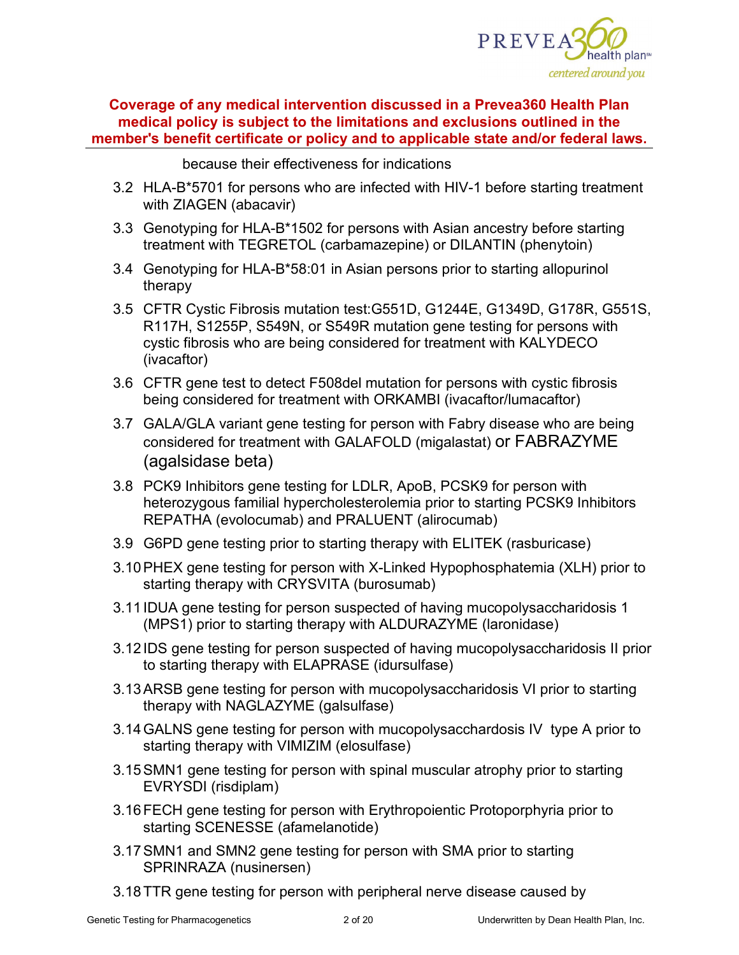

because their effectiveness for indications

- 3.2 HLA-B\*5701 for persons who are infected with HIV-1 before starting treatment with ZIAGEN (abacavir)
- 3.3 Genotyping for HLA-B\*1502 for persons with Asian ancestry before starting treatment with TEGRETOL (carbamazepine) or DILANTIN (phenytoin)
- 3.4 Genotyping for HLA-B\*58:01 in Asian persons prior to starting allopurinol therapy
- 3.5 CFTR Cystic Fibrosis mutation test:G551D, G1244E, G1349D, G178R, G551S, R117H, S1255P, S549N, or S549R mutation gene testing for persons with cystic fibrosis who are being considered for treatment with KALYDECO (ivacaftor)
- 3.6 CFTR gene test to detect F508del mutation for persons with cystic fibrosis being considered for treatment with ORKAMBI (ivacaftor/lumacaftor)
- 3.7 GALA/GLA variant gene testing for person with Fabry disease who are being considered for treatment with GALAFOLD (migalastat) or FABRAZYME (agalsidase beta)
- 3.8 PCK9 Inhibitors gene testing for LDLR, ApoB, PCSK9 for person with heterozygous familial hypercholesterolemia prior to starting PCSK9 Inhibitors REPATHA (evolocumab) and PRALUENT (alirocumab)
- 3.9 G6PD gene testing prior to starting therapy with ELITEK (rasburicase)
- 3.10PHEX gene testing for person with X-Linked Hypophosphatemia (XLH) prior to starting therapy with CRYSVITA (burosumab)
- 3.11 IDUA gene testing for person suspected of having mucopolysaccharidosis 1 (MPS1) prior to starting therapy with ALDURAZYME (laronidase)
- 3.12 IDS gene testing for person suspected of having mucopolysaccharidosis II prior to starting therapy with ELAPRASE (idursulfase)
- 3.13ARSB gene testing for person with mucopolysaccharidosis VI prior to starting therapy with NAGLAZYME (galsulfase)
- 3.14GALNS gene testing for person with mucopolysacchardosis IV type A prior to starting therapy with VIMIZIM (elosulfase)
- 3.15SMN1 gene testing for person with spinal muscular atrophy prior to starting EVRYSDI (risdiplam)
- 3.16FECH gene testing for person with Erythropoientic Protoporphyria prior to starting SCENESSE (afamelanotide)
- 3.17SMN1 and SMN2 gene testing for person with SMA prior to starting SPRINRAZA (nusinersen)
- 3.18TTR gene testing for person with peripheral nerve disease caused by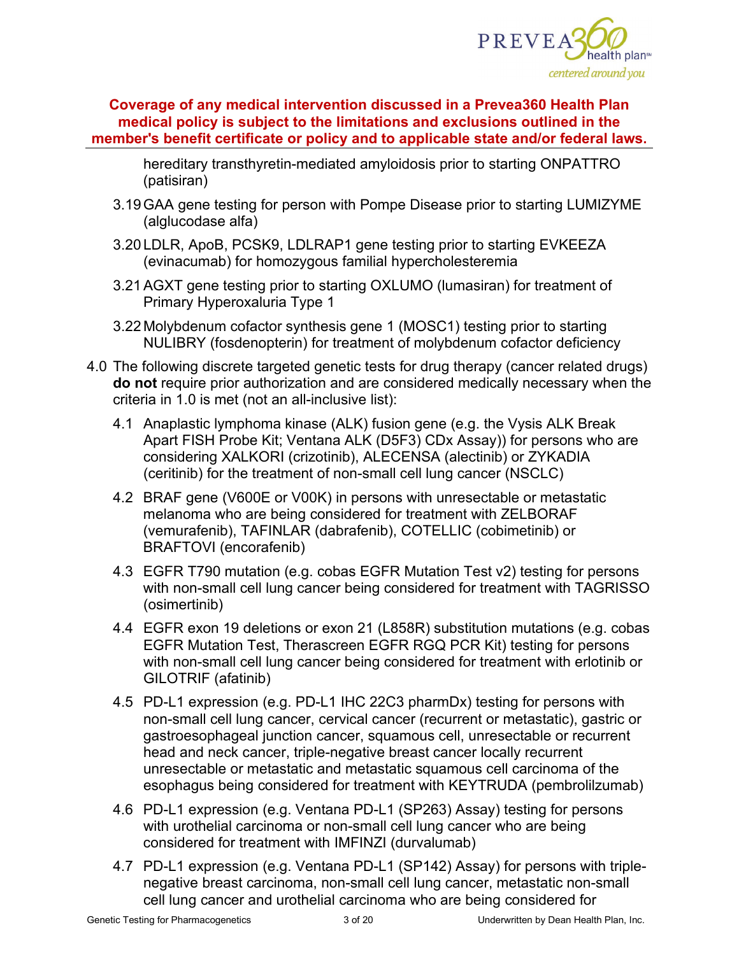

hereditary transthyretin-mediated amyloidosis prior to starting ONPATTRO (patisiran)

- 3.19GAA gene testing for person with Pompe Disease prior to starting LUMIZYME (alglucodase alfa)
- 3.20 LDLR, ApoB, PCSK9, LDLRAP1 gene testing prior to starting EVKEEZA (evinacumab) for homozygous familial hypercholesteremia
- 3.21AGXT gene testing prior to starting OXLUMO (lumasiran) for treatment of Primary Hyperoxaluria Type 1
- 3.22 Molybdenum cofactor synthesis gene 1 (MOSC1) testing prior to starting NULIBRY (fosdenopterin) for treatment of molybdenum cofactor deficiency
- 4.0 The following discrete targeted genetic tests for drug therapy (cancer related drugs) **do not** require prior authorization and are considered medically necessary when the criteria in 1.0 is met (not an all-inclusive list):
	- 4.1 Anaplastic lymphoma kinase (ALK) fusion gene (e.g. the Vysis ALK Break Apart FISH Probe Kit; Ventana ALK (D5F3) CDx Assay)) for persons who are considering XALKORI (crizotinib), ALECENSA (alectinib) or ZYKADIA (ceritinib) for the treatment of non-small cell lung cancer (NSCLC)
	- 4.2 BRAF gene (V600E or V00K) in persons with unresectable or metastatic melanoma who are being considered for treatment with ZELBORAF (vemurafenib), TAFINLAR (dabrafenib), COTELLIC (cobimetinib) or BRAFTOVI (encorafenib)
	- 4.3 EGFR T790 mutation (e.g. cobas EGFR Mutation Test v2) testing for persons with non-small cell lung cancer being considered for treatment with TAGRISSO (osimertinib)
	- 4.4 EGFR exon 19 deletions or exon 21 (L858R) substitution mutations (e.g. cobas EGFR Mutation Test, Therascreen EGFR RGQ PCR Kit) testing for persons with non-small cell lung cancer being considered for treatment with erlotinib or GILOTRIF (afatinib)
	- 4.5 PD-L1 expression (e.g. PD-L1 IHC 22C3 pharmDx) testing for persons with non-small cell lung cancer, cervical cancer (recurrent or metastatic), gastric or gastroesophageal junction cancer, squamous cell, unresectable or recurrent head and neck cancer, triple-negative breast cancer locally recurrent unresectable or metastatic and metastatic squamous cell carcinoma of the esophagus being considered for treatment with KEYTRUDA (pembrolilzumab)
	- 4.6 PD-L1 expression (e.g. Ventana PD-L1 (SP263) Assay) testing for persons with urothelial carcinoma or non-small cell lung cancer who are being considered for treatment with IMFINZI (durvalumab)
	- 4.7 PD-L1 expression (e.g. Ventana PD-L1 (SP142) Assay) for persons with triplenegative breast carcinoma, non-small cell lung cancer, metastatic non-small cell lung cancer and urothelial carcinoma who are being considered for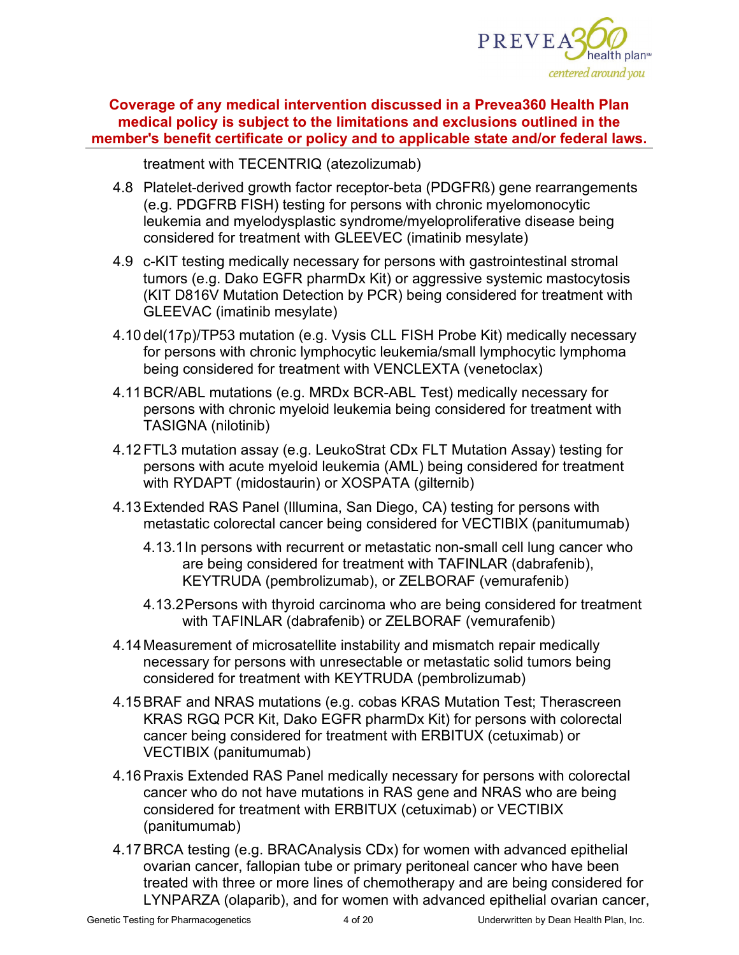

treatment with TECENTRIQ (atezolizumab)

- 4.8 Platelet-derived growth factor receptor-beta (PDGFRß) gene rearrangements (e.g. PDGFRB FISH) testing for persons with chronic myelomonocytic leukemia and myelodysplastic syndrome/myeloproliferative disease being considered for treatment with GLEEVEC (imatinib mesylate)
- 4.9 c-KIT testing medically necessary for persons with gastrointestinal stromal tumors (e.g. Dako EGFR pharmDx Kit) or aggressive systemic mastocytosis (KIT D816V Mutation Detection by PCR) being considered for treatment with GLEEVAC (imatinib mesylate)
- 4.10 del(17p)/TP53 mutation (e.g. Vysis CLL FISH Probe Kit) medically necessary for persons with chronic lymphocytic leukemia/small lymphocytic lymphoma being considered for treatment with VENCLEXTA (venetoclax)
- 4.11BCR/ABL mutations (e.g. MRDx BCR-ABL Test) medically necessary for persons with chronic myeloid leukemia being considered for treatment with TASIGNA (nilotinib)
- 4.12FTL3 mutation assay (e.g. LeukoStrat CDx FLT Mutation Assay) testing for persons with acute myeloid leukemia (AML) being considered for treatment with RYDAPT (midostaurin) or XOSPATA (gilternib)
- 4.13Extended RAS Panel (Illumina, San Diego, CA) testing for persons with metastatic colorectal cancer being considered for VECTIBIX (panitumumab)
	- 4.13.1In persons with recurrent or metastatic non-small cell lung cancer who are being considered for treatment with TAFINLAR (dabrafenib), KEYTRUDA (pembrolizumab), or ZELBORAF (vemurafenib)
	- 4.13.2Persons with thyroid carcinoma who are being considered for treatment with TAFINLAR (dabrafenib) or ZELBORAF (vemurafenib)
- 4.14 Measurement of microsatellite instability and mismatch repair medically necessary for persons with unresectable or metastatic solid tumors being considered for treatment with KEYTRUDA (pembrolizumab)
- 4.15BRAF and NRAS mutations (e.g. cobas KRAS Mutation Test; Therascreen KRAS RGQ PCR Kit, Dako EGFR pharmDx Kit) for persons with colorectal cancer being considered for treatment with ERBITUX (cetuximab) or VECTIBIX (panitumumab)
- 4.16Praxis Extended RAS Panel medically necessary for persons with colorectal cancer who do not have mutations in RAS gene and NRAS who are being considered for treatment with ERBITUX (cetuximab) or VECTIBIX (panitumumab)
- 4.17BRCA testing (e.g. BRACAnalysis CDx) for women with advanced epithelial ovarian cancer, fallopian tube or primary peritoneal cancer who have been treated with three or more lines of chemotherapy and are being considered for LYNPARZA (olaparib), and for women with advanced epithelial ovarian cancer,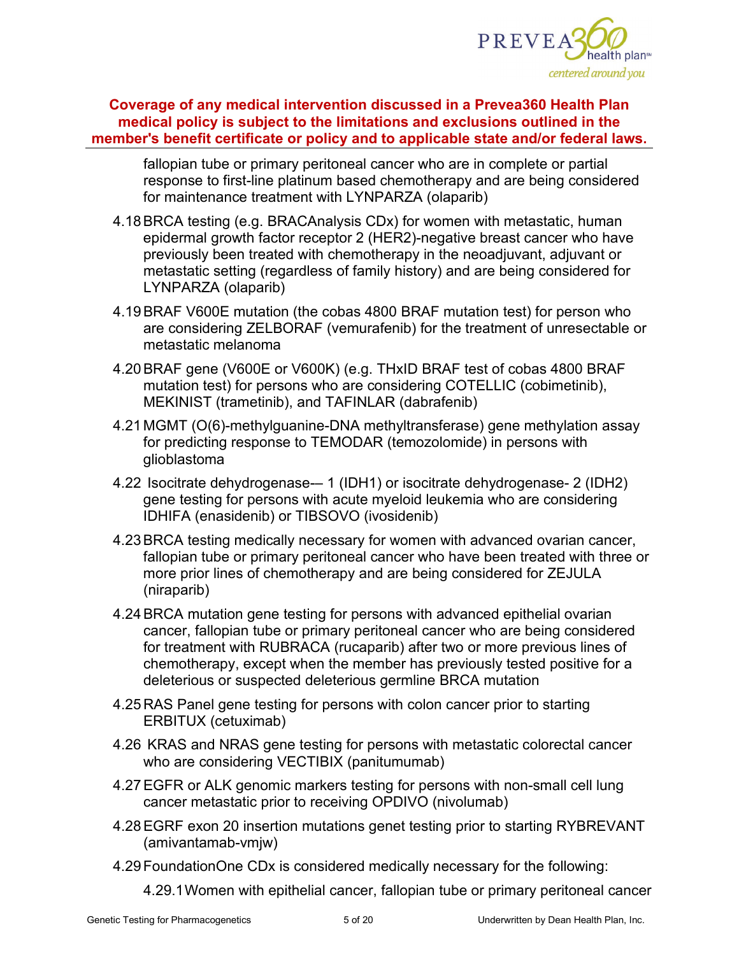

fallopian tube or primary peritoneal cancer who are in complete or partial response to first-line platinum based chemotherapy and are being considered for maintenance treatment with LYNPARZA (olaparib)

- 4.18BRCA testing (e.g. BRACAnalysis CDx) for women with metastatic, human epidermal growth factor receptor 2 (HER2)-negative breast cancer who have previously been treated with chemotherapy in the neoadjuvant, adjuvant or metastatic setting (regardless of family history) and are being considered for LYNPARZA (olaparib)
- 4.19BRAF V600E mutation (the cobas 4800 BRAF mutation test) for person who are considering ZELBORAF (vemurafenib) for the treatment of unresectable or metastatic melanoma
- 4.20BRAF gene (V600E or V600K) (e.g. THxID BRAF test of cobas 4800 BRAF mutation test) for persons who are considering COTELLIC (cobimetinib), MEKINIST (trametinib), and TAFINLAR (dabrafenib)
- 4.21 MGMT (O(6)-methylguanine-DNA methyltransferase) gene methylation assay for predicting response to TEMODAR (temozolomide) in persons with glioblastoma
- 4.22 Isocitrate dehydrogenase-– 1 (IDH1) or isocitrate dehydrogenase- 2 (IDH2) gene testing for persons with acute myeloid leukemia who are considering IDHIFA (enasidenib) or TIBSOVO (ivosidenib)
- 4.23BRCA testing medically necessary for women with advanced ovarian cancer, fallopian tube or primary peritoneal cancer who have been treated with three or more prior lines of chemotherapy and are being considered for ZEJULA (niraparib)
- 4.24BRCA mutation gene testing for persons with advanced epithelial ovarian cancer, fallopian tube or primary peritoneal cancer who are being considered for treatment with RUBRACA (rucaparib) after two or more previous lines of chemotherapy, except when the member has previously tested positive for a deleterious or suspected deleterious germline BRCA mutation
- 4.25RAS Panel gene testing for persons with colon cancer prior to starting ERBITUX (cetuximab)
- 4.26 KRAS and NRAS gene testing for persons with metastatic colorectal cancer who are considering VECTIBIX (panitumumab)
- 4.27EGFR or ALK genomic markers testing for persons with non-small cell lung cancer metastatic prior to receiving OPDIVO (nivolumab)
- 4.28EGRF exon 20 insertion mutations genet testing prior to starting RYBREVANT (amivantamab-vmjw)
- 4.29FoundationOne CDx is considered medically necessary for the following:

4.29.1Women with epithelial cancer, fallopian tube or primary peritoneal cancer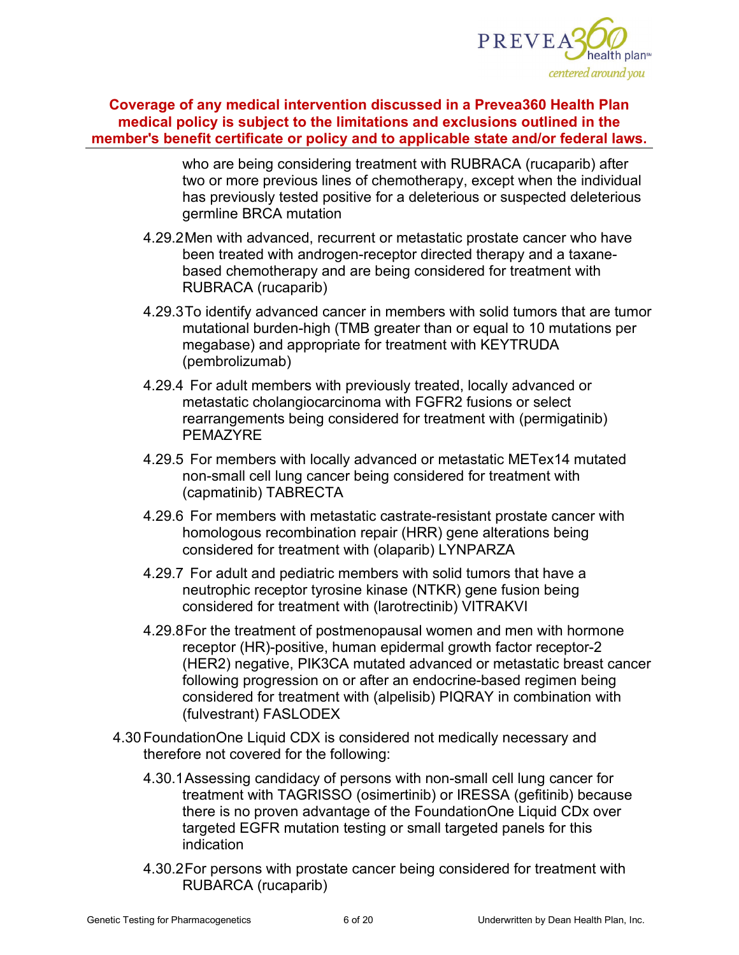

who are being considering treatment with RUBRACA (rucaparib) after two or more previous lines of chemotherapy, except when the individual has previously tested positive for a deleterious or suspected deleterious germline BRCA mutation

- 4.29.2Men with advanced, recurrent or metastatic prostate cancer who have been treated with androgen-receptor directed therapy and a taxanebased chemotherapy and are being considered for treatment with RUBRACA (rucaparib)
- 4.29.3To identify advanced cancer in members with solid tumors that are tumor mutational burden-high (TMB greater than or equal to 10 mutations per megabase) and appropriate for treatment with KEYTRUDA (pembrolizumab)
- 4.29.4 For adult members with previously treated, locally advanced or metastatic cholangiocarcinoma with FGFR2 fusions or select rearrangements being considered for treatment with (permigatinib) PEMAZYRE
- 4.29.5 For members with locally advanced or metastatic METex14 mutated non-small cell lung cancer being considered for treatment with (capmatinib) TABRECTA
- 4.29.6 For members with metastatic castrate-resistant prostate cancer with homologous recombination repair (HRR) gene alterations being considered for treatment with (olaparib) LYNPARZA
- 4.29.7 For adult and pediatric members with solid tumors that have a neutrophic receptor tyrosine kinase (NTKR) gene fusion being considered for treatment with (larotrectinib) VITRAKVI
- 4.29.8For the treatment of postmenopausal women and men with hormone receptor (HR)-positive, human epidermal growth factor receptor-2 (HER2) negative, PIK3CA mutated advanced or metastatic breast cancer following progression on or after an endocrine-based regimen being considered for treatment with (alpelisib) PIQRAY in combination with (fulvestrant) FASLODEX
- 4.30FoundationOne Liquid CDX is considered not medically necessary and therefore not covered for the following:
	- 4.30.1Assessing candidacy of persons with non-small cell lung cancer for treatment with TAGRISSO (osimertinib) or IRESSA (gefitinib) because there is no proven advantage of the FoundationOne Liquid CDx over targeted EGFR mutation testing or small targeted panels for this indication
	- 4.30.2For persons with prostate cancer being considered for treatment with RUBARCA (rucaparib)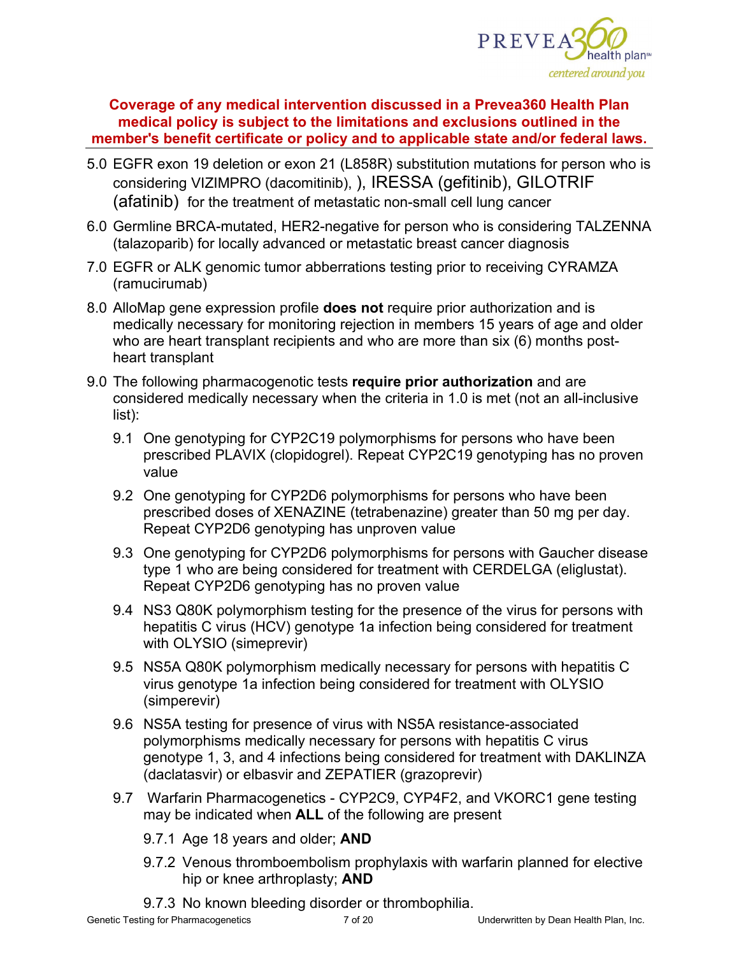

- 5.0 EGFR exon 19 deletion or exon 21 (L858R) substitution mutations for person who is considering VIZIMPRO (dacomitinib), ), IRESSA (gefitinib), GILOTRIF (afatinib) for the treatment of metastatic non-small cell lung cancer
- 6.0 Germline BRCA-mutated, HER2-negative for person who is considering TALZENNA (talazoparib) for locally advanced or metastatic breast cancer diagnosis
- 7.0 EGFR or ALK genomic tumor abberrations testing prior to receiving CYRAMZA (ramucirumab)
- 8.0 AlloMap gene expression profile **does not** require prior authorization and is medically necessary for monitoring rejection in members 15 years of age and older who are heart transplant recipients and who are more than six (6) months postheart transplant
- 9.0 The following pharmacogenotic tests **require prior authorization** and are considered medically necessary when the criteria in 1.0 is met (not an all-inclusive list):
	- 9.1 One genotyping for CYP2C19 polymorphisms for persons who have been prescribed PLAVIX (clopidogrel). Repeat CYP2C19 genotyping has no proven value
	- 9.2 One genotyping for CYP2D6 polymorphisms for persons who have been prescribed doses of XENAZINE (tetrabenazine) greater than 50 mg per day. Repeat CYP2D6 genotyping has unproven value
	- 9.3 One genotyping for CYP2D6 polymorphisms for persons with Gaucher disease type 1 who are being considered for treatment with CERDELGA (eliglustat). Repeat CYP2D6 genotyping has no proven value
	- 9.4 NS3 Q80K polymorphism testing for the presence of the virus for persons with hepatitis C virus (HCV) genotype 1a infection being considered for treatment with OLYSIO (simeprevir)
	- 9.5 NS5A Q80K polymorphism medically necessary for persons with hepatitis C virus genotype 1a infection being considered for treatment with OLYSIO (simperevir)
	- 9.6 NS5A testing for presence of virus with NS5A resistance-associated polymorphisms medically necessary for persons with hepatitis C virus genotype 1, 3, and 4 infections being considered for treatment with DAKLINZA (daclatasvir) or elbasvir and ZEPATIER (grazoprevir)
	- 9.7 Warfarin Pharmacogenetics CYP2C9, CYP4F2, and VKORC1 gene testing may be indicated when **ALL** of the following are present
		- 9.7.1 Age 18 years and older; **AND**
		- 9.7.2 Venous thromboembolism prophylaxis with warfarin planned for elective hip or knee arthroplasty; **AND**
		- 9.7.3 No known bleeding disorder or thrombophilia.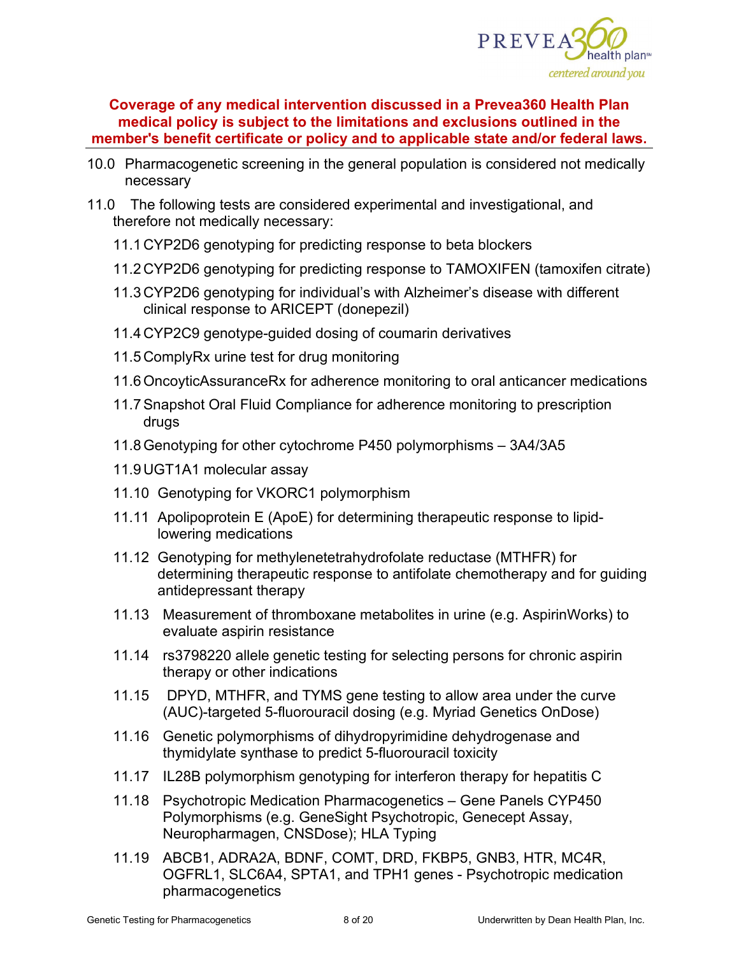

- 10.0 Pharmacogenetic screening in the general population is considered not medically necessary
- 11.0 The following tests are considered experimental and investigational, and therefore not medically necessary:
	- 11.1CYP2D6 genotyping for predicting response to beta blockers
	- 11.2CYP2D6 genotyping for predicting response to TAMOXIFEN (tamoxifen citrate)
	- 11.3CYP2D6 genotyping for individual's with Alzheimer's disease with different clinical response to ARICEPT (donepezil)
	- 11.4CYP2C9 genotype-guided dosing of coumarin derivatives
	- 11.5ComplyRx urine test for drug monitoring
	- 11.6OncoyticAssuranceRx for adherence monitoring to oral anticancer medications
	- 11.7Snapshot Oral Fluid Compliance for adherence monitoring to prescription drugs
	- 11.8Genotyping for other cytochrome P450 polymorphisms 3A4/3A5
	- 11.9UGT1A1 molecular assay
	- 11.10 Genotyping for VKORC1 polymorphism
	- 11.11 Apolipoprotein E (ApoE) for determining therapeutic response to lipidlowering medications
	- 11.12 Genotyping for methylenetetrahydrofolate reductase (MTHFR) for determining therapeutic response to antifolate chemotherapy and for guiding antidepressant therapy
	- 11.13 Measurement of thromboxane metabolites in urine (e.g. AspirinWorks) to evaluate aspirin resistance
	- 11.14 rs3798220 allele genetic testing for selecting persons for chronic aspirin therapy or other indications
	- 11.15 DPYD, MTHFR, and TYMS gene testing to allow area under the curve (AUC)-targeted 5-fluorouracil dosing (e.g. Myriad Genetics OnDose)
	- 11.16 Genetic polymorphisms of dihydropyrimidine dehydrogenase and thymidylate synthase to predict 5-fluorouracil toxicity
	- 11.17 IL28B polymorphism genotyping for interferon therapy for hepatitis C
	- 11.18 Psychotropic Medication Pharmacogenetics Gene Panels CYP450 Polymorphisms (e.g. GeneSight Psychotropic, Genecept Assay, Neuropharmagen, CNSDose); HLA Typing
	- 11.19 ABCB1, ADRA2A, BDNF, COMT, DRD, FKBP5, GNB3, HTR, MC4R, OGFRL1, SLC6A4, SPTA1, and TPH1 genes - Psychotropic medication pharmacogenetics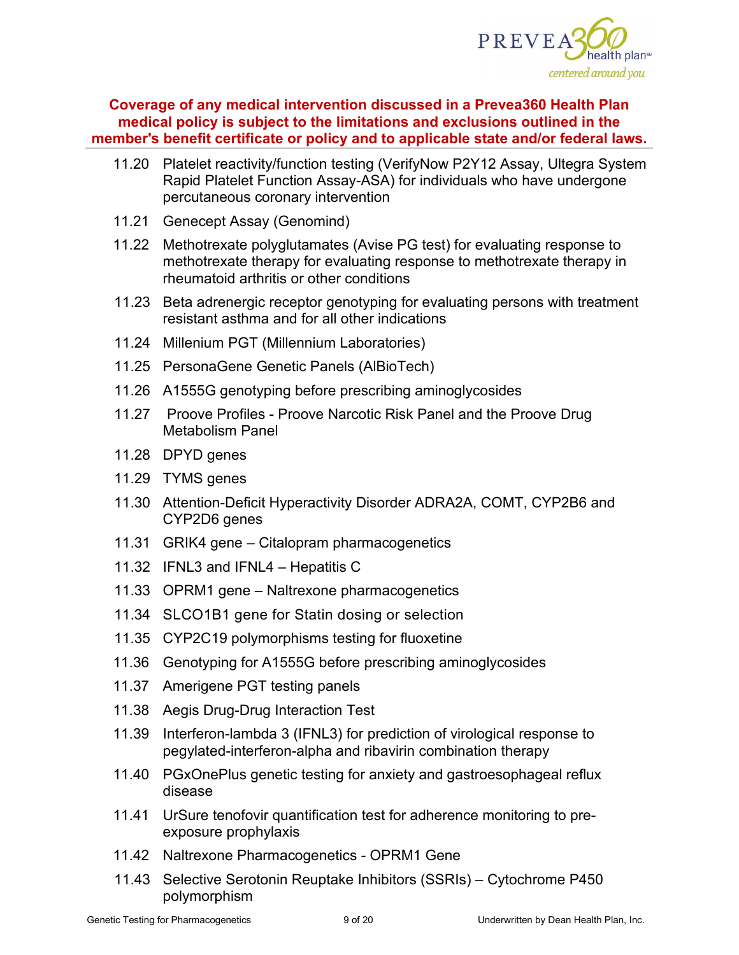

- 11.20 Platelet reactivity/function testing (VerifyNow P2Y12 Assay, Ultegra System Rapid Platelet Function Assay-ASA) for individuals who have undergone percutaneous coronary intervention
- 11.21 Genecept Assay (Genomind)
- 11.22 Methotrexate polyglutamates (Avise PG test) for evaluating response to methotrexate therapy for evaluating response to methotrexate therapy in rheumatoid arthritis or other conditions
- 11.23 Beta adrenergic receptor genotyping for evaluating persons with treatment resistant asthma and for all other indications
- 11.24 Millenium PGT (Millennium Laboratories)
- 11.25 PersonaGene Genetic Panels (AlBioTech)
- 11.26 A1555G genotyping before prescribing aminoglycosides
- 11.27 Proove Profiles Proove Narcotic Risk Panel and the Proove Drug Metabolism Panel
- 11.28 DPYD genes
- 11.29 TYMS genes
- 11.30 Attention-Deficit Hyperactivity Disorder ADRA2A, COMT, CYP2B6 and CYP2D6 genes
- 11.31 GRIK4 gene Citalopram pharmacogenetics
- 11.32 IFNL3 and IFNL4 Hepatitis C
- 11.33 OPRM1 gene Naltrexone pharmacogenetics
- 11.34 SLCO1B1 gene for Statin dosing or selection
- 11.35 CYP2C19 polymorphisms testing for fluoxetine
- 11.36 Genotyping for A1555G before prescribing aminoglycosides
- 11.37 Amerigene PGT testing panels
- 11.38 Aegis Drug-Drug Interaction Test
- 11.39 Interferon-lambda 3 (IFNL3) for prediction of virological response to pegylated-interferon-alpha and ribavirin combination therapy
- 11.40 PGxOnePlus genetic testing for anxiety and gastroesophageal reflux disease
- 11.41 UrSure tenofovir quantification test for adherence monitoring to preexposure prophylaxis
- 11.42 Naltrexone Pharmacogenetics OPRM1 Gene
- 11.43 Selective Serotonin Reuptake Inhibitors (SSRIs) Cytochrome P450 polymorphism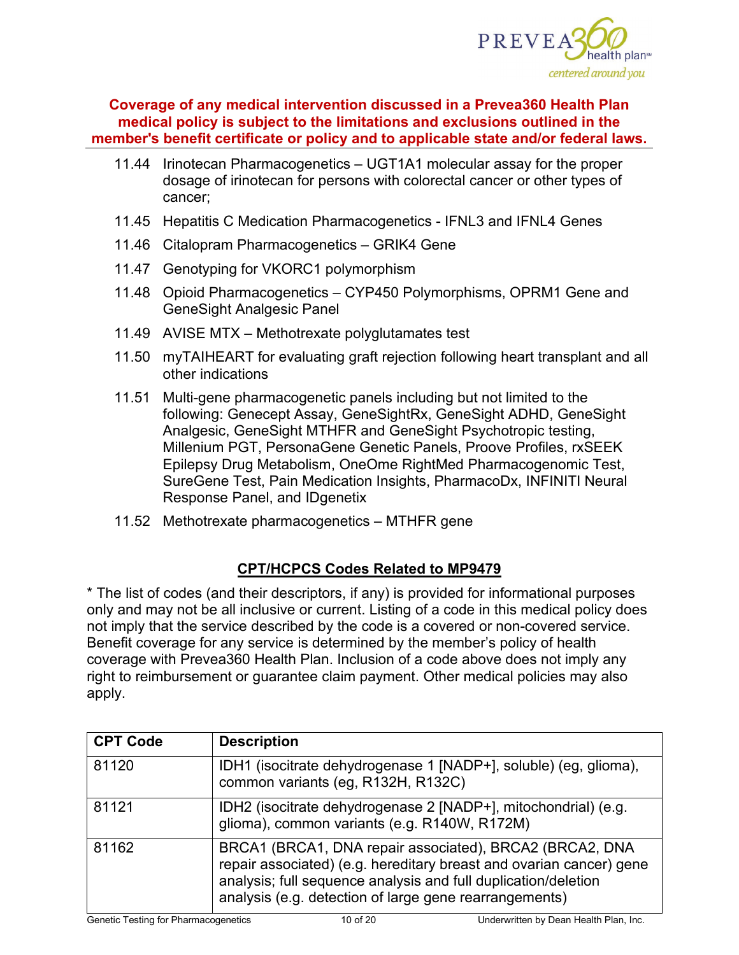

- 11.44 Irinotecan Pharmacogenetics UGT1A1 molecular assay for the proper dosage of irinotecan for persons with colorectal cancer or other types of cancer;
- 11.45 Hepatitis C Medication Pharmacogenetics IFNL3 and IFNL4 Genes
- 11.46 Citalopram Pharmacogenetics GRIK4 Gene
- 11.47 Genotyping for VKORC1 polymorphism
- 11.48 Opioid Pharmacogenetics CYP450 Polymorphisms, OPRM1 Gene and GeneSight Analgesic Panel
- 11.49 AVISE MTX Methotrexate polyglutamates test
- 11.50 myTAIHEART for evaluating graft rejection following heart transplant and all other indications
- 11.51 Multi-gene pharmacogenetic panels including but not limited to the following: Genecept Assay, GeneSightRx, GeneSight ADHD, GeneSight Analgesic, GeneSight MTHFR and GeneSight Psychotropic testing, Millenium PGT, PersonaGene Genetic Panels, Proove Profiles, rxSEEK Epilepsy Drug Metabolism, OneOme RightMed Pharmacogenomic Test, SureGene Test, Pain Medication Insights, PharmacoDx, INFINITI Neural Response Panel, and IDgenetix
- 11.52 Methotrexate pharmacogenetics MTHFR gene

# **CPT/HCPCS Codes Related to MP9479**

\* The list of codes (and their descriptors, if any) is provided for informational purposes only and may not be all inclusive or current. Listing of a code in this medical policy does not imply that the service described by the code is a covered or non-covered service. Benefit coverage for any service is determined by the member's policy of health coverage with Prevea360 Health Plan. Inclusion of a code above does not imply any right to reimbursement or guarantee claim payment. Other medical policies may also apply.

| <b>CPT Code</b> | <b>Description</b>                                                                                                                                                                                                                                         |
|-----------------|------------------------------------------------------------------------------------------------------------------------------------------------------------------------------------------------------------------------------------------------------------|
| 81120           | IDH1 (isocitrate dehydrogenase 1 [NADP+], soluble) (eg, glioma),<br>common variants (eg, R132H, R132C)                                                                                                                                                     |
| 81121           | IDH2 (isocitrate dehydrogenase 2 [NADP+], mitochondrial) (e.g.<br>glioma), common variants (e.g. R140W, R172M)                                                                                                                                             |
| 81162           | BRCA1 (BRCA1, DNA repair associated), BRCA2 (BRCA2, DNA<br>repair associated) (e.g. hereditary breast and ovarian cancer) gene<br>analysis; full sequence analysis and full duplication/deletion<br>analysis (e.g. detection of large gene rearrangements) |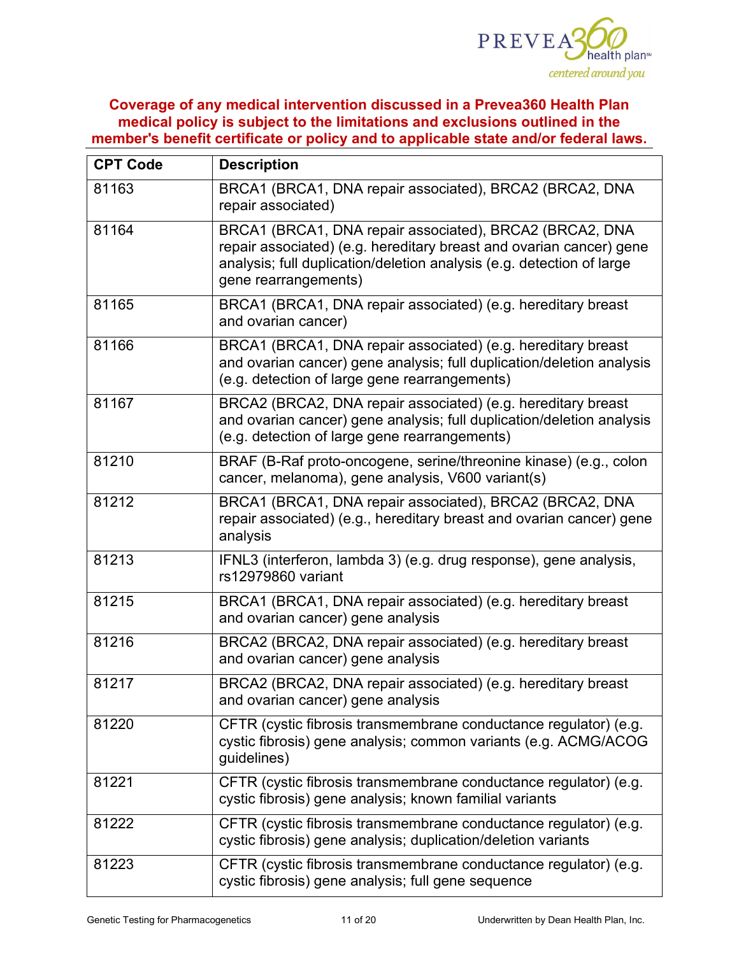

| <b>CPT Code</b> | <b>Description</b>                                                                                                                                                                                                              |  |  |
|-----------------|---------------------------------------------------------------------------------------------------------------------------------------------------------------------------------------------------------------------------------|--|--|
| 81163           | BRCA1 (BRCA1, DNA repair associated), BRCA2 (BRCA2, DNA<br>repair associated)                                                                                                                                                   |  |  |
| 81164           | BRCA1 (BRCA1, DNA repair associated), BRCA2 (BRCA2, DNA<br>repair associated) (e.g. hereditary breast and ovarian cancer) gene<br>analysis; full duplication/deletion analysis (e.g. detection of large<br>gene rearrangements) |  |  |
| 81165           | BRCA1 (BRCA1, DNA repair associated) (e.g. hereditary breast<br>and ovarian cancer)                                                                                                                                             |  |  |
| 81166           | BRCA1 (BRCA1, DNA repair associated) (e.g. hereditary breast<br>and ovarian cancer) gene analysis; full duplication/deletion analysis<br>(e.g. detection of large gene rearrangements)                                          |  |  |
| 81167           | BRCA2 (BRCA2, DNA repair associated) (e.g. hereditary breast<br>and ovarian cancer) gene analysis; full duplication/deletion analysis<br>(e.g. detection of large gene rearrangements)                                          |  |  |
| 81210           | BRAF (B-Raf proto-oncogene, serine/threonine kinase) (e.g., colon<br>cancer, melanoma), gene analysis, V600 variant(s)                                                                                                          |  |  |
| 81212           | BRCA1 (BRCA1, DNA repair associated), BRCA2 (BRCA2, DNA<br>repair associated) (e.g., hereditary breast and ovarian cancer) gene<br>analysis                                                                                     |  |  |
| 81213           | IFNL3 (interferon, lambda 3) (e.g. drug response), gene analysis,<br>rs12979860 variant                                                                                                                                         |  |  |
| 81215           | BRCA1 (BRCA1, DNA repair associated) (e.g. hereditary breast<br>and ovarian cancer) gene analysis                                                                                                                               |  |  |
| 81216           | BRCA2 (BRCA2, DNA repair associated) (e.g. hereditary breast<br>and ovarian cancer) gene analysis                                                                                                                               |  |  |
| 81217           | BRCA2 (BRCA2, DNA repair associated) (e.g. hereditary breast<br>and ovarian cancer) gene analysis                                                                                                                               |  |  |
| 81220           | CFTR (cystic fibrosis transmembrane conductance regulator) (e.g.<br>cystic fibrosis) gene analysis; common variants (e.g. ACMG/ACOG<br>guidelines)                                                                              |  |  |
| 81221           | CFTR (cystic fibrosis transmembrane conductance regulator) (e.g.<br>cystic fibrosis) gene analysis; known familial variants                                                                                                     |  |  |
| 81222           | CFTR (cystic fibrosis transmembrane conductance regulator) (e.g.<br>cystic fibrosis) gene analysis; duplication/deletion variants                                                                                               |  |  |
| 81223           | CFTR (cystic fibrosis transmembrane conductance regulator) (e.g.<br>cystic fibrosis) gene analysis; full gene sequence                                                                                                          |  |  |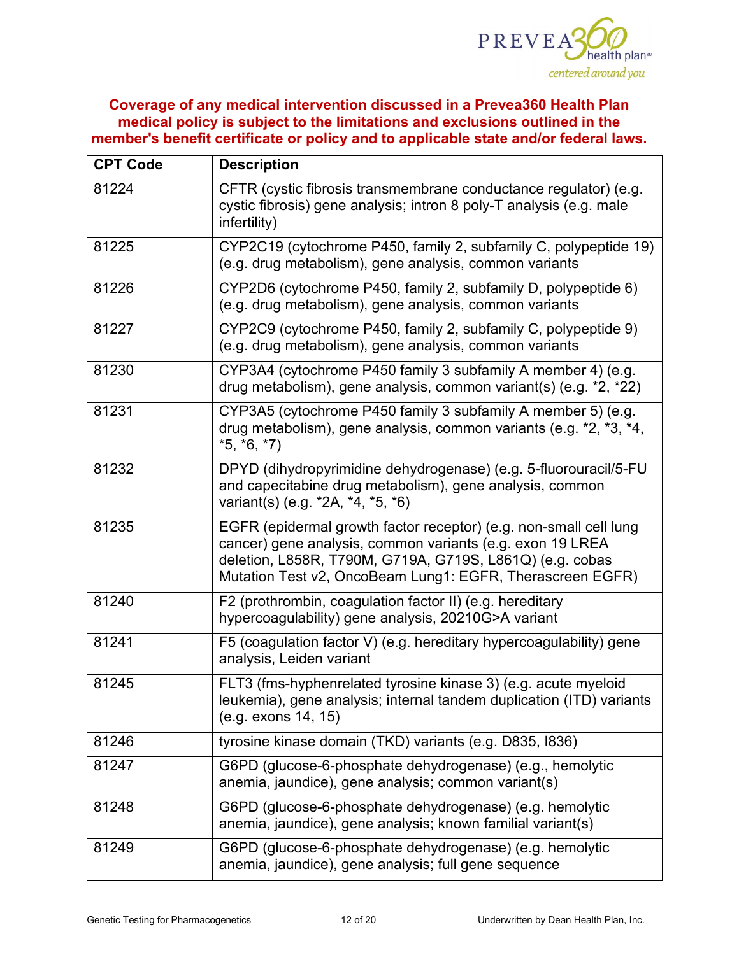

| <b>CPT Code</b> | <b>Description</b>                                                                                                                                                                                                                                      |  |  |
|-----------------|---------------------------------------------------------------------------------------------------------------------------------------------------------------------------------------------------------------------------------------------------------|--|--|
| 81224           | CFTR (cystic fibrosis transmembrane conductance regulator) (e.g.<br>cystic fibrosis) gene analysis; intron 8 poly-T analysis (e.g. male<br>infertility)                                                                                                 |  |  |
| 81225           | CYP2C19 (cytochrome P450, family 2, subfamily C, polypeptide 19)<br>(e.g. drug metabolism), gene analysis, common variants                                                                                                                              |  |  |
| 81226           | CYP2D6 (cytochrome P450, family 2, subfamily D, polypeptide 6)<br>(e.g. drug metabolism), gene analysis, common variants                                                                                                                                |  |  |
| 81227           | CYP2C9 (cytochrome P450, family 2, subfamily C, polypeptide 9)<br>(e.g. drug metabolism), gene analysis, common variants                                                                                                                                |  |  |
| 81230           | CYP3A4 (cytochrome P450 family 3 subfamily A member 4) (e.g.<br>drug metabolism), gene analysis, common variant(s) (e.g. *2, *22)                                                                                                                       |  |  |
| 81231           | CYP3A5 (cytochrome P450 family 3 subfamily A member 5) (e.g.<br>drug metabolism), gene analysis, common variants (e.g. *2, *3, *4,<br>$*5, *6, *7)$                                                                                                     |  |  |
| 81232           | DPYD (dihydropyrimidine dehydrogenase) (e.g. 5-fluorouracil/5-FU<br>and capecitabine drug metabolism), gene analysis, common<br>variant(s) (e.g. *2A, *4, *5, *6)                                                                                       |  |  |
| 81235           | EGFR (epidermal growth factor receptor) (e.g. non-small cell lung<br>cancer) gene analysis, common variants (e.g. exon 19 LREA<br>deletion, L858R, T790M, G719A, G719S, L861Q) (e.g. cobas<br>Mutation Test v2, OncoBeam Lung1: EGFR, Therascreen EGFR) |  |  |
| 81240           | F2 (prothrombin, coagulation factor II) (e.g. hereditary<br>hypercoagulability) gene analysis, 20210G>A variant                                                                                                                                         |  |  |
| 81241           | F5 (coagulation factor V) (e.g. hereditary hypercoagulability) gene<br>analysis, Leiden variant                                                                                                                                                         |  |  |
| 81245           | FLT3 (fms-hyphenrelated tyrosine kinase 3) (e.g. acute myeloid<br>leukemia), gene analysis; internal tandem duplication (ITD) variants<br>(e.g. exons 14, 15)                                                                                           |  |  |
| 81246           | tyrosine kinase domain (TKD) variants (e.g. D835, I836)                                                                                                                                                                                                 |  |  |
| 81247           | G6PD (glucose-6-phosphate dehydrogenase) (e.g., hemolytic<br>anemia, jaundice), gene analysis; common variant(s)                                                                                                                                        |  |  |
| 81248           | G6PD (glucose-6-phosphate dehydrogenase) (e.g. hemolytic<br>anemia, jaundice), gene analysis; known familial variant(s)                                                                                                                                 |  |  |
| 81249           | G6PD (glucose-6-phosphate dehydrogenase) (e.g. hemolytic<br>anemia, jaundice), gene analysis; full gene sequence                                                                                                                                        |  |  |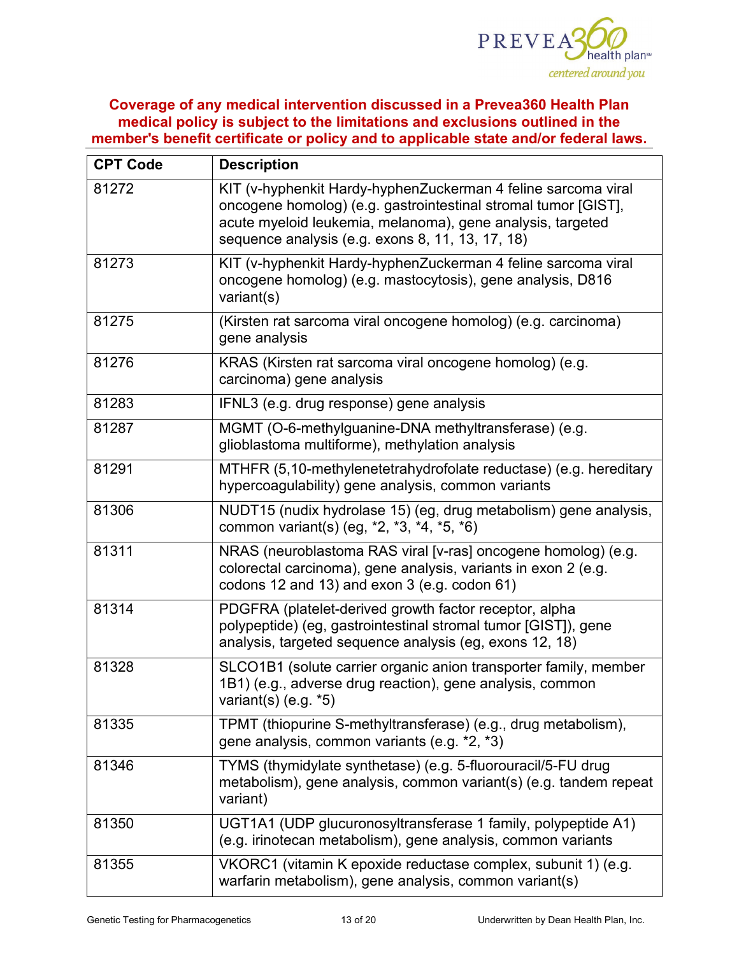

| <b>CPT Code</b> | <b>Description</b>                                                                                                                                                                                                                                |  |  |
|-----------------|---------------------------------------------------------------------------------------------------------------------------------------------------------------------------------------------------------------------------------------------------|--|--|
| 81272           | KIT (v-hyphenkit Hardy-hyphenZuckerman 4 feline sarcoma viral<br>oncogene homolog) (e.g. gastrointestinal stromal tumor [GIST],<br>acute myeloid leukemia, melanoma), gene analysis, targeted<br>sequence analysis (e.g. exons 8, 11, 13, 17, 18) |  |  |
| 81273           | KIT (v-hyphenkit Hardy-hyphenZuckerman 4 feline sarcoma viral<br>oncogene homolog) (e.g. mastocytosis), gene analysis, D816<br>variant(s)                                                                                                         |  |  |
| 81275           | (Kirsten rat sarcoma viral oncogene homolog) (e.g. carcinoma)<br>gene analysis                                                                                                                                                                    |  |  |
| 81276           | KRAS (Kirsten rat sarcoma viral oncogene homolog) $\overline{(e.g.)}$<br>carcinoma) gene analysis                                                                                                                                                 |  |  |
| 81283           | IFNL3 (e.g. drug response) gene analysis                                                                                                                                                                                                          |  |  |
| 81287           | MGMT (O-6-methylguanine-DNA methyltransferase) (e.g.<br>glioblastoma multiforme), methylation analysis                                                                                                                                            |  |  |
| 81291           | MTHFR (5,10-methylenetetrahydrofolate reductase) (e.g. hereditary<br>hypercoagulability) gene analysis, common variants                                                                                                                           |  |  |
| 81306           | NUDT15 (nudix hydrolase 15) (eg, drug metabolism) gene analysis,<br>common variant(s) (eg, *2, *3, *4, *5, *6)                                                                                                                                    |  |  |
| 81311           | NRAS (neuroblastoma RAS viral [v-ras] oncogene homolog) (e.g.<br>colorectal carcinoma), gene analysis, variants in exon 2 (e.g.<br>codons 12 and 13) and exon $3$ (e.g. codon $61$ )                                                              |  |  |
| 81314           | PDGFRA (platelet-derived growth factor receptor, alpha<br>polypeptide) (eg, gastrointestinal stromal tumor [GIST]), gene<br>analysis, targeted sequence analysis (eg, exons 12, 18)                                                               |  |  |
| 81328           | SLCO1B1 (solute carrier organic anion transporter family, member<br>1B1) (e.g., adverse drug reaction), gene analysis, common<br>variant(s) $(e.g. *5)$                                                                                           |  |  |
| 81335           | TPMT (thiopurine S-methyltransferase) (e.g., drug metabolism),<br>gene analysis, common variants (e.g. *2, *3)                                                                                                                                    |  |  |
| 81346           | TYMS (thymidylate synthetase) (e.g. 5-fluorouracil/5-FU drug<br>metabolism), gene analysis, common variant(s) (e.g. tandem repeat<br>variant)                                                                                                     |  |  |
| 81350           | UGT1A1 (UDP glucuronosyltransferase 1 family, polypeptide A1)<br>(e.g. irinotecan metabolism), gene analysis, common variants                                                                                                                     |  |  |
| 81355           | VKORC1 (vitamin K epoxide reductase complex, subunit 1) (e.g.<br>warfarin metabolism), gene analysis, common variant(s)                                                                                                                           |  |  |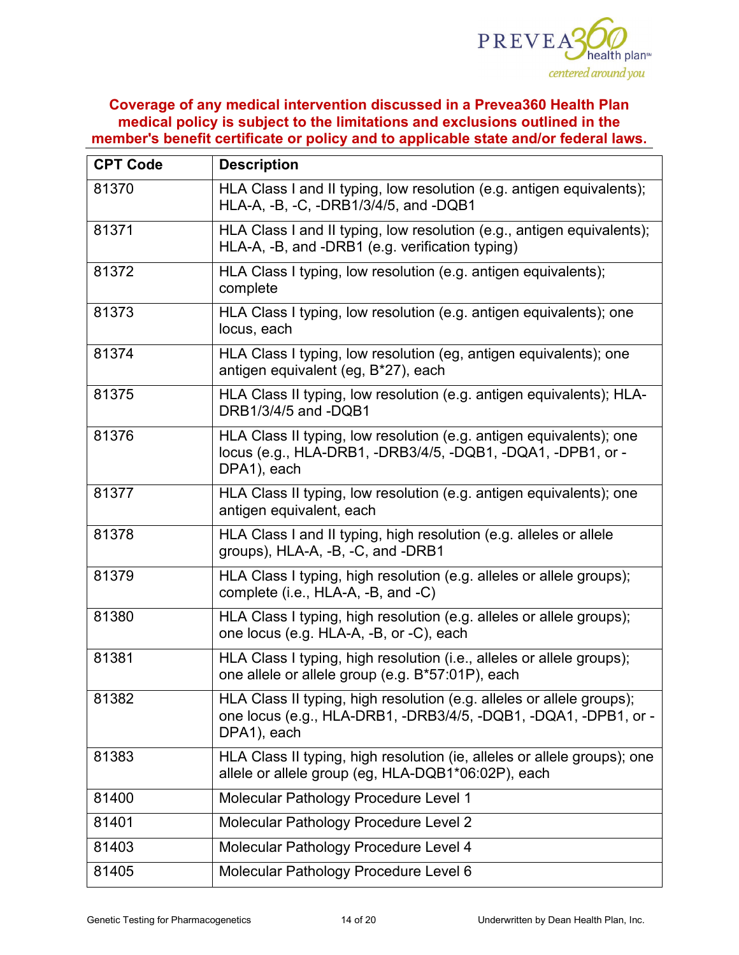

| <b>CPT Code</b> | <b>Description</b>                                                                                                                                      |  |  |
|-----------------|---------------------------------------------------------------------------------------------------------------------------------------------------------|--|--|
| 81370           | HLA Class I and II typing, low resolution (e.g. antigen equivalents);<br>HLA-A, -B, -C, -DRB1/3/4/5, and -DQB1                                          |  |  |
| 81371           | HLA Class I and II typing, low resolution (e.g., antigen equivalents);<br>HLA-A, -B, and -DRB1 (e.g. verification typing)                               |  |  |
| 81372           | HLA Class I typing, low resolution (e.g. antigen equivalents);<br>complete                                                                              |  |  |
| 81373           | HLA Class I typing, low resolution (e.g. antigen equivalents); one<br>locus, each                                                                       |  |  |
| 81374           | HLA Class I typing, low resolution (eg, antigen equivalents); one<br>antigen equivalent (eg, B*27), each                                                |  |  |
| 81375           | HLA Class II typing, low resolution (e.g. antigen equivalents); HLA-<br>DRB1/3/4/5 and -DQB1                                                            |  |  |
| 81376           | HLA Class II typing, low resolution (e.g. antigen equivalents); one<br>locus (e.g., HLA-DRB1, -DRB3/4/5, -DQB1, -DQA1, -DPB1, or -<br>DPA1), each       |  |  |
| 81377           | HLA Class II typing, low resolution (e.g. antigen equivalents); one<br>antigen equivalent, each                                                         |  |  |
| 81378           | HLA Class I and II typing, high resolution (e.g. alleles or allele<br>groups), HLA-A, -B, -C, and -DRB1                                                 |  |  |
| 81379           | HLA Class I typing, high resolution (e.g. alleles or allele groups);<br>complete (i.e., HLA-A, -B, and -C)                                              |  |  |
| 81380           | HLA Class I typing, high resolution (e.g. alleles or allele groups);<br>one locus (e.g. HLA-A, -B, or -C), each                                         |  |  |
| 81381           | HLA Class I typing, high resolution (i.e., alleles or allele groups);<br>one allele or allele group (e.g. B*57:01P), each                               |  |  |
| 81382           | HLA Class II typing, high resolution (e.g. alleles or allele groups);<br>one locus (e.g., HLA-DRB1, -DRB3/4/5, -DQB1, -DQA1, -DPB1, or -<br>DPA1), each |  |  |
| 81383           | HLA Class II typing, high resolution (ie, alleles or allele groups); one<br>allele or allele group (eg, HLA-DQB1*06:02P), each                          |  |  |
| 81400           | Molecular Pathology Procedure Level 1                                                                                                                   |  |  |
| 81401           | Molecular Pathology Procedure Level 2                                                                                                                   |  |  |
| 81403           | Molecular Pathology Procedure Level 4                                                                                                                   |  |  |
| 81405           | Molecular Pathology Procedure Level 6                                                                                                                   |  |  |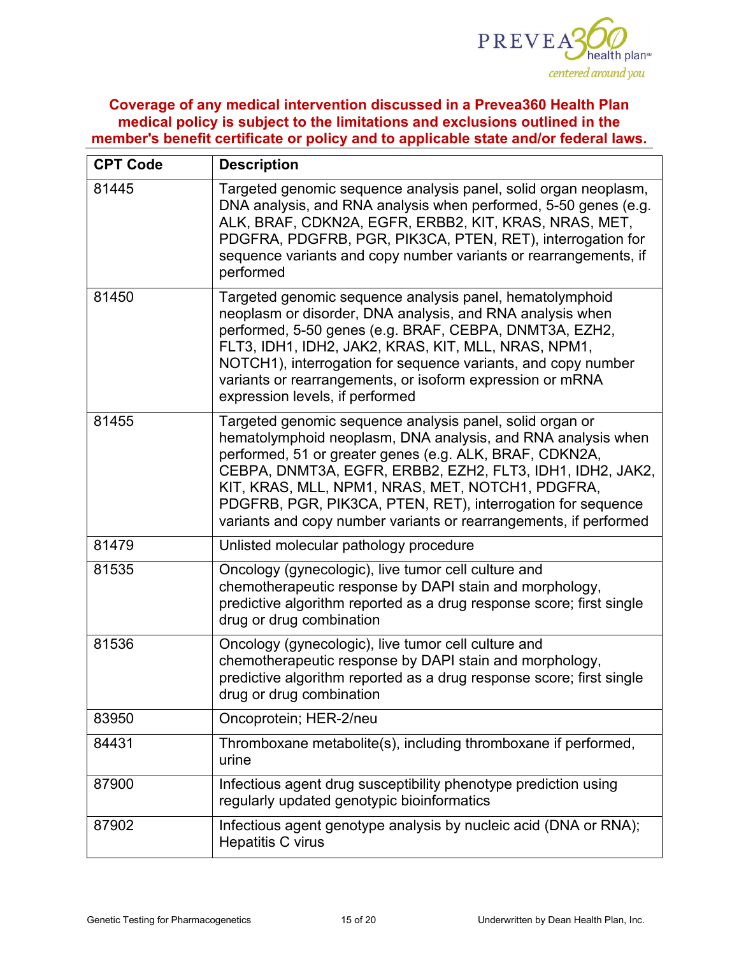

| <b>CPT Code</b> | <b>Description</b>                                                                                                                                                                                                                                                                                                                                                                                                                       |  |  |
|-----------------|------------------------------------------------------------------------------------------------------------------------------------------------------------------------------------------------------------------------------------------------------------------------------------------------------------------------------------------------------------------------------------------------------------------------------------------|--|--|
| 81445           | Targeted genomic sequence analysis panel, solid organ neoplasm,<br>DNA analysis, and RNA analysis when performed, 5-50 genes (e.g.<br>ALK, BRAF, CDKN2A, EGFR, ERBB2, KIT, KRAS, NRAS, MET,<br>PDGFRA, PDGFRB, PGR, PIK3CA, PTEN, RET), interrogation for<br>sequence variants and copy number variants or rearrangements, if<br>performed                                                                                               |  |  |
| 81450           | Targeted genomic sequence analysis panel, hematolymphoid<br>neoplasm or disorder, DNA analysis, and RNA analysis when<br>performed, 5-50 genes (e.g. BRAF, CEBPA, DNMT3A, EZH2,<br>FLT3, IDH1, IDH2, JAK2, KRAS, KIT, MLL, NRAS, NPM1,<br>NOTCH1), interrogation for sequence variants, and copy number<br>variants or rearrangements, or isoform expression or mRNA<br>expression levels, if performed                                  |  |  |
| 81455           | Targeted genomic sequence analysis panel, solid organ or<br>hematolymphoid neoplasm, DNA analysis, and RNA analysis when<br>performed, 51 or greater genes (e.g. ALK, BRAF, CDKN2A,<br>CEBPA, DNMT3A, EGFR, ERBB2, EZH2, FLT3, IDH1, IDH2, JAK2,<br>KIT, KRAS, MLL, NPM1, NRAS, MET, NOTCH1, PDGFRA,<br>PDGFRB, PGR, PIK3CA, PTEN, RET), interrogation for sequence<br>variants and copy number variants or rearrangements, if performed |  |  |
| 81479           | Unlisted molecular pathology procedure                                                                                                                                                                                                                                                                                                                                                                                                   |  |  |
| 81535           | Oncology (gynecologic), live tumor cell culture and<br>chemotherapeutic response by DAPI stain and morphology,<br>predictive algorithm reported as a drug response score; first single<br>drug or drug combination                                                                                                                                                                                                                       |  |  |
| 81536           | Oncology (gynecologic), live tumor cell culture and<br>chemotherapeutic response by DAPI stain and morphology,<br>predictive algorithm reported as a drug response score; first single<br>drug or drug combination                                                                                                                                                                                                                       |  |  |
| 83950           | Oncoprotein; HER-2/neu                                                                                                                                                                                                                                                                                                                                                                                                                   |  |  |
| 84431           | Thromboxane metabolite(s), including thromboxane if performed,<br>urine                                                                                                                                                                                                                                                                                                                                                                  |  |  |
| 87900           | Infectious agent drug susceptibility phenotype prediction using<br>regularly updated genotypic bioinformatics                                                                                                                                                                                                                                                                                                                            |  |  |
| 87902           | Infectious agent genotype analysis by nucleic acid (DNA or RNA);<br><b>Hepatitis C virus</b>                                                                                                                                                                                                                                                                                                                                             |  |  |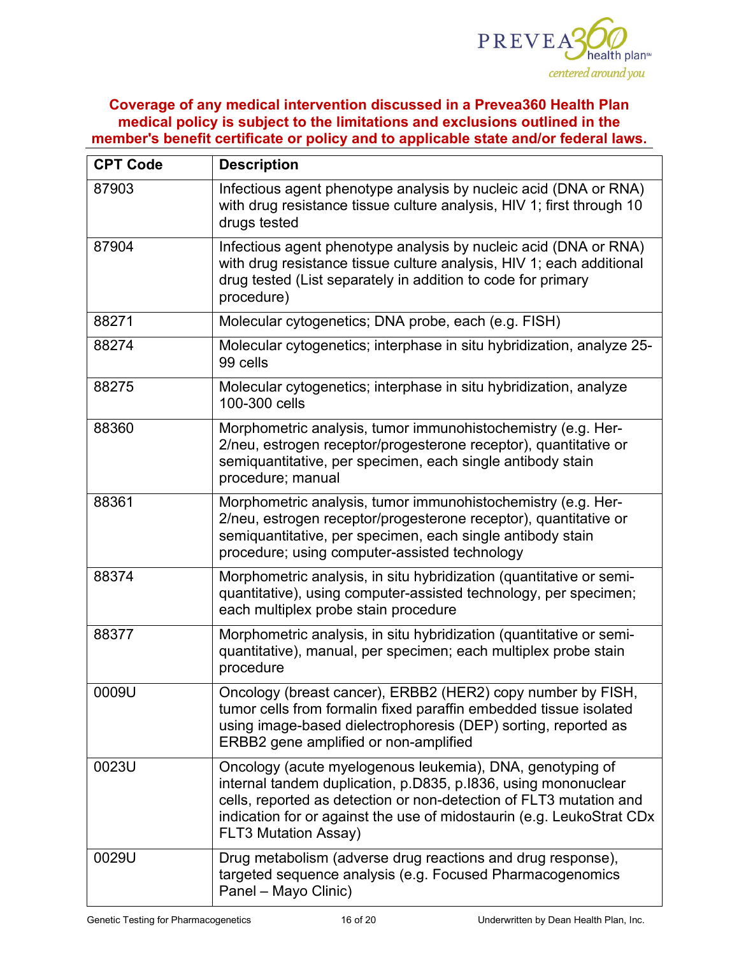

| <b>CPT Code</b> | <b>Description</b>                                                                                                                                                                                                                                                                                        |  |  |
|-----------------|-----------------------------------------------------------------------------------------------------------------------------------------------------------------------------------------------------------------------------------------------------------------------------------------------------------|--|--|
| 87903           | Infectious agent phenotype analysis by nucleic acid (DNA or RNA)<br>with drug resistance tissue culture analysis, HIV 1; first through 10<br>drugs tested                                                                                                                                                 |  |  |
| 87904           | Infectious agent phenotype analysis by nucleic acid (DNA or RNA)<br>with drug resistance tissue culture analysis, HIV 1; each additional<br>drug tested (List separately in addition to code for primary<br>procedure)                                                                                    |  |  |
| 88271           | Molecular cytogenetics; DNA probe, each (e.g. FISH)                                                                                                                                                                                                                                                       |  |  |
| 88274           | Molecular cytogenetics; interphase in situ hybridization, analyze 25-<br>99 cells                                                                                                                                                                                                                         |  |  |
| 88275           | Molecular cytogenetics; interphase in situ hybridization, analyze<br>100-300 cells                                                                                                                                                                                                                        |  |  |
| 88360           | Morphometric analysis, tumor immunohistochemistry (e.g. Her-<br>2/neu, estrogen receptor/progesterone receptor), quantitative or<br>semiquantitative, per specimen, each single antibody stain<br>procedure; manual                                                                                       |  |  |
| 88361           | Morphometric analysis, tumor immunohistochemistry (e.g. Her-<br>2/neu, estrogen receptor/progesterone receptor), quantitative or<br>semiquantitative, per specimen, each single antibody stain<br>procedure; using computer-assisted technology                                                           |  |  |
| 88374           | Morphometric analysis, in situ hybridization (quantitative or semi-<br>quantitative), using computer-assisted technology, per specimen;<br>each multiplex probe stain procedure                                                                                                                           |  |  |
| 88377           | Morphometric analysis, in situ hybridization (quantitative or semi-<br>quantitative), manual, per specimen; each multiplex probe stain<br>procedure                                                                                                                                                       |  |  |
| 0009U           | Oncology (breast cancer), ERBB2 (HER2) copy number by FISH,<br>tumor cells from formalin fixed paraffin embedded tissue isolated<br>using image-based dielectrophoresis (DEP) sorting, reported as<br>ERBB2 gene amplified or non-amplified                                                               |  |  |
| 0023U           | Oncology (acute myelogenous leukemia), DNA, genotyping of<br>internal tandem duplication, p.D835, p.I836, using mononuclear<br>cells, reported as detection or non-detection of FLT3 mutation and<br>indication for or against the use of midostaurin (e.g. LeukoStrat CDx<br><b>FLT3 Mutation Assay)</b> |  |  |
| 0029U           | Drug metabolism (adverse drug reactions and drug response),<br>targeted sequence analysis (e.g. Focused Pharmacogenomics<br>Panel - Mayo Clinic)                                                                                                                                                          |  |  |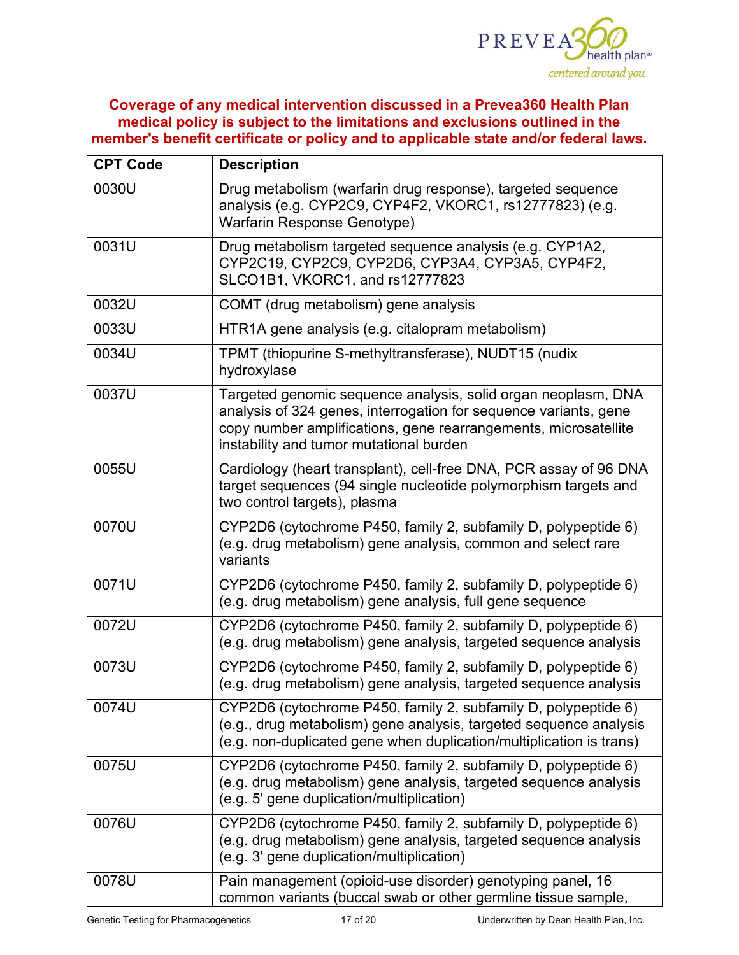

| <b>CPT Code</b> | <b>Description</b>                                                                                                                                                                                                                              |  |  |
|-----------------|-------------------------------------------------------------------------------------------------------------------------------------------------------------------------------------------------------------------------------------------------|--|--|
| 0030U           | Drug metabolism (warfarin drug response), targeted sequence<br>analysis (e.g. CYP2C9, CYP4F2, VKORC1, rs12777823) (e.g.<br>Warfarin Response Genotype)                                                                                          |  |  |
| 0031U           | Drug metabolism targeted sequence analysis (e.g. CYP1A2,<br>CYP2C19, CYP2C9, CYP2D6, CYP3A4, CYP3A5, CYP4F2,<br>SLCO1B1, VKORC1, and rs12777823                                                                                                 |  |  |
| 0032U           | COMT (drug metabolism) gene analysis                                                                                                                                                                                                            |  |  |
| 0033U           | HTR1A gene analysis (e.g. citalopram metabolism)                                                                                                                                                                                                |  |  |
| 0034U           | TPMT (thiopurine S-methyltransferase), NUDT15 (nudix<br>hydroxylase                                                                                                                                                                             |  |  |
| 0037U           | Targeted genomic sequence analysis, solid organ neoplasm, DNA<br>analysis of 324 genes, interrogation for sequence variants, gene<br>copy number amplifications, gene rearrangements, microsatellite<br>instability and tumor mutational burden |  |  |
| 0055U           | Cardiology (heart transplant), cell-free DNA, PCR assay of 96 DNA<br>target sequences (94 single nucleotide polymorphism targets and<br>two control targets), plasma                                                                            |  |  |
| 0070U           | CYP2D6 (cytochrome P450, family 2, subfamily D, polypeptide 6)<br>(e.g. drug metabolism) gene analysis, common and select rare<br>variants                                                                                                      |  |  |
| 0071U           | CYP2D6 (cytochrome P450, family 2, subfamily D, polypeptide 6)<br>(e.g. drug metabolism) gene analysis, full gene sequence                                                                                                                      |  |  |
| 0072U           | CYP2D6 (cytochrome P450, family 2, subfamily D, polypeptide 6)<br>(e.g. drug metabolism) gene analysis, targeted sequence analysis                                                                                                              |  |  |
| 0073U           | CYP2D6 (cytochrome P450, family 2, subfamily D, polypeptide 6)<br>(e.g. drug metabolism) gene analysis, targeted sequence analysis                                                                                                              |  |  |
| 0074U           | CYP2D6 (cytochrome P450, family 2, subfamily D, polypeptide 6)<br>(e.g., drug metabolism) gene analysis, targeted sequence analysis<br>(e.g. non-duplicated gene when duplication/multiplication is trans)                                      |  |  |
| 0075U           | CYP2D6 (cytochrome P450, family 2, subfamily D, polypeptide 6)<br>(e.g. drug metabolism) gene analysis, targeted sequence analysis<br>(e.g. 5' gene duplication/multiplication)                                                                 |  |  |
| 0076U           | CYP2D6 (cytochrome P450, family 2, subfamily D, polypeptide 6)<br>(e.g. drug metabolism) gene analysis, targeted sequence analysis<br>(e.g. 3' gene duplication/multiplication)                                                                 |  |  |
| 0078U           | Pain management (opioid-use disorder) genotyping panel, 16<br>common variants (buccal swab or other germline tissue sample,                                                                                                                     |  |  |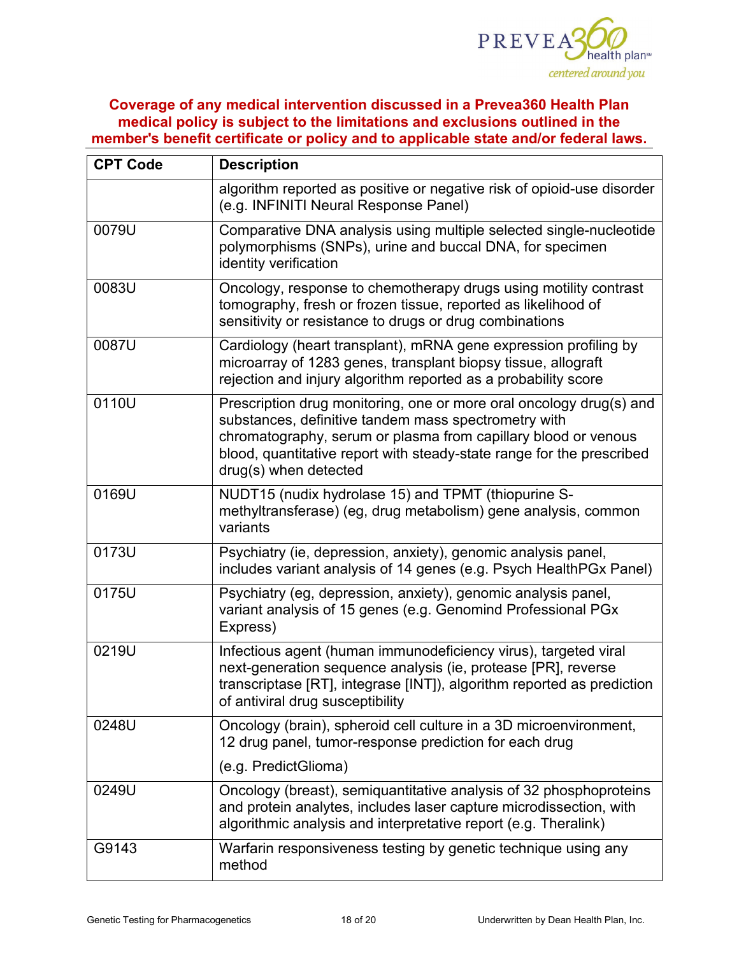

| <b>CPT Code</b> | <b>Description</b>                                                                                                                                                                                                                                                                              |  |  |
|-----------------|-------------------------------------------------------------------------------------------------------------------------------------------------------------------------------------------------------------------------------------------------------------------------------------------------|--|--|
|                 | algorithm reported as positive or negative risk of opioid-use disorder<br>(e.g. INFINITI Neural Response Panel)                                                                                                                                                                                 |  |  |
| 0079U           | Comparative DNA analysis using multiple selected single-nucleotide<br>polymorphisms (SNPs), urine and buccal DNA, for specimen<br>identity verification                                                                                                                                         |  |  |
| 0083U           | Oncology, response to chemotherapy drugs using motility contrast<br>tomography, fresh or frozen tissue, reported as likelihood of<br>sensitivity or resistance to drugs or drug combinations                                                                                                    |  |  |
| 0087U           | Cardiology (heart transplant), mRNA gene expression profiling by<br>microarray of 1283 genes, transplant biopsy tissue, allograft<br>rejection and injury algorithm reported as a probability score                                                                                             |  |  |
| 0110U           | Prescription drug monitoring, one or more oral oncology drug(s) and<br>substances, definitive tandem mass spectrometry with<br>chromatography, serum or plasma from capillary blood or venous<br>blood, quantitative report with steady-state range for the prescribed<br>drug(s) when detected |  |  |
| 0169U           | NUDT15 (nudix hydrolase 15) and TPMT (thiopurine S-<br>methyltransferase) (eg, drug metabolism) gene analysis, common<br>variants                                                                                                                                                               |  |  |
| 0173U           | Psychiatry (ie, depression, anxiety), genomic analysis panel,<br>includes variant analysis of 14 genes (e.g. Psych HealthPGx Panel)                                                                                                                                                             |  |  |
| 0175U           | Psychiatry (eg, depression, anxiety), genomic analysis panel,<br>variant analysis of 15 genes (e.g. Genomind Professional PGx<br>Express)                                                                                                                                                       |  |  |
| 0219U           | Infectious agent (human immunodeficiency virus), targeted viral<br>next-generation sequence analysis (ie, protease [PR], reverse<br>transcriptase [RT], integrase [INT]), algorithm reported as prediction<br>of antiviral drug susceptibility                                                  |  |  |
| 0248U           | Oncology (brain), spheroid cell culture in a 3D microenvironment,<br>12 drug panel, tumor-response prediction for each drug                                                                                                                                                                     |  |  |
|                 | (e.g. PredictGlioma)                                                                                                                                                                                                                                                                            |  |  |
| 0249U           | Oncology (breast), semiquantitative analysis of 32 phosphoproteins<br>and protein analytes, includes laser capture microdissection, with<br>algorithmic analysis and interpretative report (e.g. Theralink)                                                                                     |  |  |
| G9143           | Warfarin responsiveness testing by genetic technique using any<br>method                                                                                                                                                                                                                        |  |  |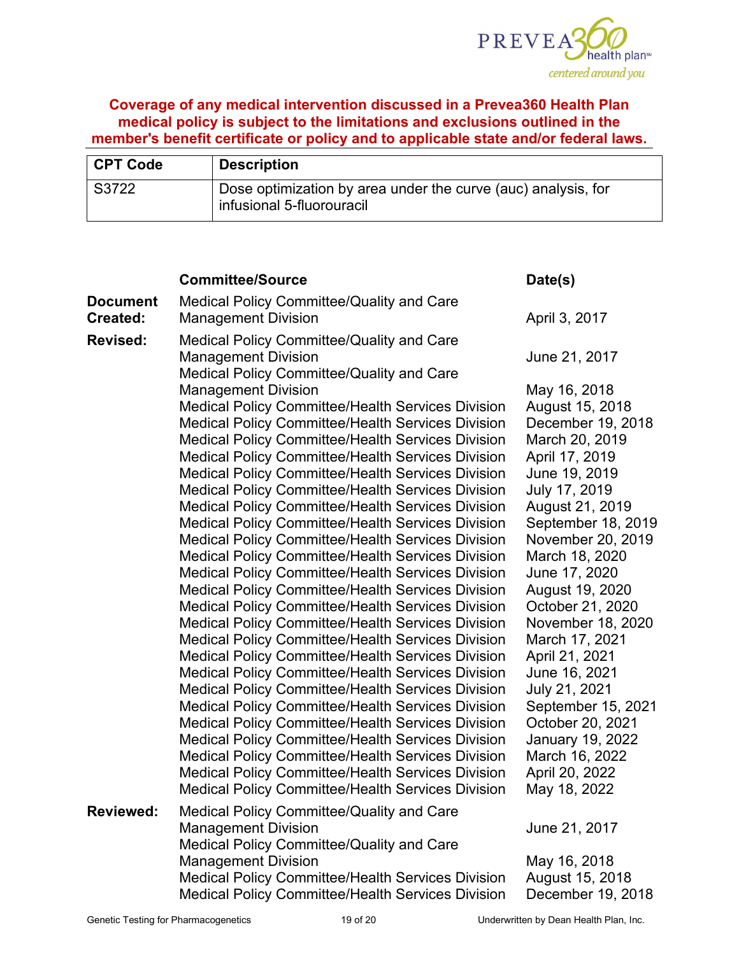

| CPT Code | <b>Description</b>                                                                         |
|----------|--------------------------------------------------------------------------------------------|
| S3722    | Dose optimization by area under the curve (auc) analysis, for<br>infusional 5-fluorouracil |

|                                    | <b>Committee/Source</b>                                                                                                                                                                                                                                                                                                                                                                                                                                                                                                                                                                                                                                                                                                                                                                                                                                                                                                                                                                                                                                                                                                                                                                                                                                                                                                                                                                                                                                        | Date(s)                                                                                                                                                                                                                                                                                                                                                                                                                                                                |
|------------------------------------|----------------------------------------------------------------------------------------------------------------------------------------------------------------------------------------------------------------------------------------------------------------------------------------------------------------------------------------------------------------------------------------------------------------------------------------------------------------------------------------------------------------------------------------------------------------------------------------------------------------------------------------------------------------------------------------------------------------------------------------------------------------------------------------------------------------------------------------------------------------------------------------------------------------------------------------------------------------------------------------------------------------------------------------------------------------------------------------------------------------------------------------------------------------------------------------------------------------------------------------------------------------------------------------------------------------------------------------------------------------------------------------------------------------------------------------------------------------|------------------------------------------------------------------------------------------------------------------------------------------------------------------------------------------------------------------------------------------------------------------------------------------------------------------------------------------------------------------------------------------------------------------------------------------------------------------------|
| <b>Document</b><br><b>Created:</b> | Medical Policy Committee/Quality and Care<br><b>Management Division</b>                                                                                                                                                                                                                                                                                                                                                                                                                                                                                                                                                                                                                                                                                                                                                                                                                                                                                                                                                                                                                                                                                                                                                                                                                                                                                                                                                                                        | April 3, 2017                                                                                                                                                                                                                                                                                                                                                                                                                                                          |
| <b>Revised:</b>                    | Medical Policy Committee/Quality and Care<br><b>Management Division</b><br>Medical Policy Committee/Quality and Care                                                                                                                                                                                                                                                                                                                                                                                                                                                                                                                                                                                                                                                                                                                                                                                                                                                                                                                                                                                                                                                                                                                                                                                                                                                                                                                                           | June 21, 2017                                                                                                                                                                                                                                                                                                                                                                                                                                                          |
|                                    | <b>Management Division</b><br><b>Medical Policy Committee/Health Services Division</b><br><b>Medical Policy Committee/Health Services Division</b><br><b>Medical Policy Committee/Health Services Division</b><br><b>Medical Policy Committee/Health Services Division</b><br><b>Medical Policy Committee/Health Services Division</b><br><b>Medical Policy Committee/Health Services Division</b><br><b>Medical Policy Committee/Health Services Division</b><br><b>Medical Policy Committee/Health Services Division</b><br><b>Medical Policy Committee/Health Services Division</b><br><b>Medical Policy Committee/Health Services Division</b><br><b>Medical Policy Committee/Health Services Division</b><br><b>Medical Policy Committee/Health Services Division</b><br><b>Medical Policy Committee/Health Services Division</b><br><b>Medical Policy Committee/Health Services Division</b><br><b>Medical Policy Committee/Health Services Division</b><br><b>Medical Policy Committee/Health Services Division</b><br><b>Medical Policy Committee/Health Services Division</b><br><b>Medical Policy Committee/Health Services Division</b><br><b>Medical Policy Committee/Health Services Division</b><br><b>Medical Policy Committee/Health Services Division</b><br><b>Medical Policy Committee/Health Services Division</b><br><b>Medical Policy Committee/Health Services Division</b><br><b>Medical Policy Committee/Health Services Division</b> | May 16, 2018<br>August 15, 2018<br>December 19, 2018<br>March 20, 2019<br>April 17, 2019<br>June 19, 2019<br>July 17, 2019<br>August 21, 2019<br>September 18, 2019<br>November 20, 2019<br>March 18, 2020<br>June 17, 2020<br>August 19, 2020<br>October 21, 2020<br>November 18, 2020<br>March 17, 2021<br>April 21, 2021<br>June 16, 2021<br>July 21, 2021<br>September 15, 2021<br>October 20, 2021<br><b>January 19, 2022</b><br>March 16, 2022<br>April 20, 2022 |
| <b>Reviewed:</b>                   | <b>Medical Policy Committee/Health Services Division</b><br>Medical Policy Committee/Quality and Care                                                                                                                                                                                                                                                                                                                                                                                                                                                                                                                                                                                                                                                                                                                                                                                                                                                                                                                                                                                                                                                                                                                                                                                                                                                                                                                                                          | May 18, 2022                                                                                                                                                                                                                                                                                                                                                                                                                                                           |
|                                    | <b>Management Division</b><br>Medical Policy Committee/Quality and Care<br><b>Management Division</b><br><b>Medical Policy Committee/Health Services Division</b><br><b>Medical Policy Committee/Health Services Division</b>                                                                                                                                                                                                                                                                                                                                                                                                                                                                                                                                                                                                                                                                                                                                                                                                                                                                                                                                                                                                                                                                                                                                                                                                                                  | June 21, 2017<br>May 16, 2018<br>August 15, 2018<br>December 19, 2018                                                                                                                                                                                                                                                                                                                                                                                                  |